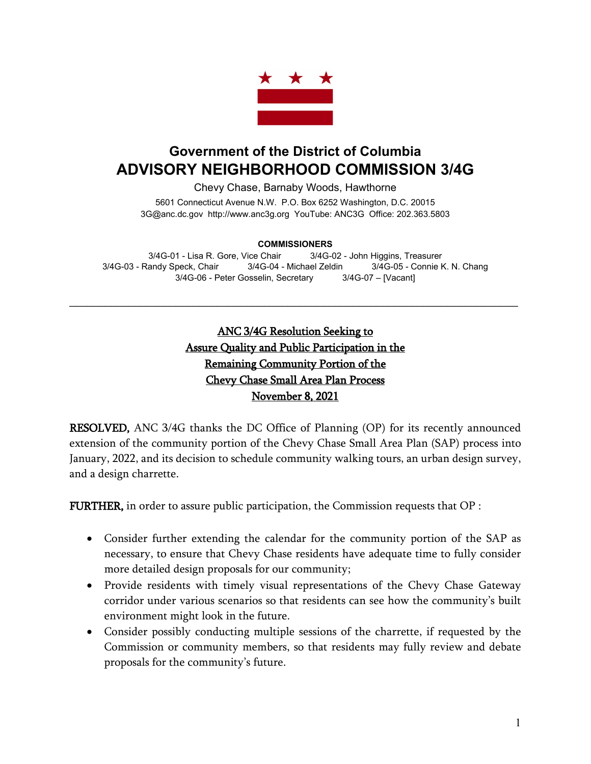

## **Government of the District of Columbia ADVISORY NEIGHBORHOOD COMMISSION 3/4G**

Chevy Chase, Barnaby Woods, Hawthorne

5601 Connecticut Avenue N.W. P.O. Box 6252 Washington, D.C. 20015 3G@anc.dc.gov [http://www.anc3g.org](http://www.anc3g.org/) YouTube: ANC3G Office: 202.363.5803

## **COMMISSIONERS**

3/4G-01 - Lisa R. Gore, Vice Chair 3/4G-02 - John Higgins, Treasurer 3/4G-03 - Randy Speck, Chair 3/4G-04 - Michael Zeldin 3/4G-05 - Connie K. N. Chang 3/4G-06 - Peter Gosselin, Secretary 3/4G-07 – [Vacant]

 $\mathcal{L}_\text{max}$  and  $\mathcal{L}_\text{max}$  and  $\mathcal{L}_\text{max}$  and  $\mathcal{L}_\text{max}$  and  $\mathcal{L}_\text{max}$  and  $\mathcal{L}_\text{max}$ 

ANC 3/4G Resolution Seeking to Assure Quality and Public Participation in the Remaining Community Portion of the Chevy Chase Small Area Plan Process November 8, 2021

RESOLVED, ANC 3/4G thanks the DC Office of Planning (OP) for its recently announced extension of the community portion of the Chevy Chase Small Area Plan (SAP) process into January, 2022, and its decision to schedule community walking tours, an urban design survey, and a design charrette.

FURTHER, in order to assure public participation, the Commission requests that OP :

- Consider further extending the calendar for the community portion of the SAP as necessary, to ensure that Chevy Chase residents have adequate time to fully consider more detailed design proposals for our community;
- Provide residents with timely visual representations of the Chevy Chase Gateway corridor under various scenarios so that residents can see how the community's built environment might look in the future.
- Consider possibly conducting multiple sessions of the charrette, if requested by the Commission or community members, so that residents may fully review and debate proposals for the community's future.